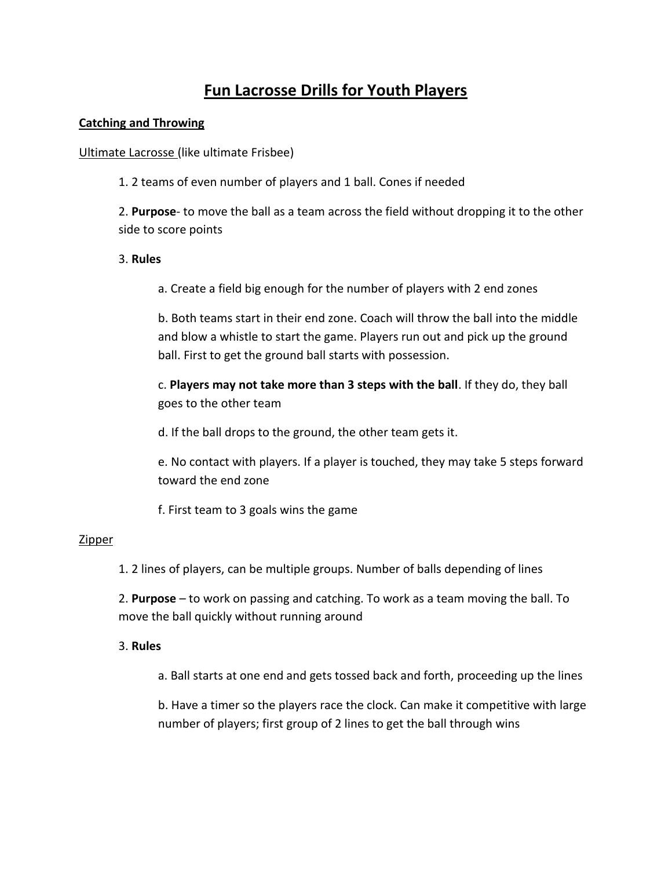# **Fun Lacrosse Drills for Youth Players**

# **Catching and Throwing**

Ultimate Lacrosse (like ultimate Frisbee)

1. 2 teams of even number of players and 1 ball. Cones if needed

2. **Purpose**- to move the ball as a team across the field without dropping it to the other side to score points

# 3. **Rules**

a. Create a field big enough for the number of players with 2 end zones

b. Both teams start in their end zone. Coach will throw the ball into the middle and blow a whistle to start the game. Players run out and pick up the ground ball. First to get the ground ball starts with possession.

c. **Players may not take more than 3 steps with the ball**. If they do, they ball goes to the other team

d. If the ball drops to the ground, the other team gets it.

e. No contact with players. If a player is touched, they may take 5 steps forward toward the end zone

f. First team to 3 goals wins the game

# Zipper

1. 2 lines of players, can be multiple groups. Number of balls depending of lines

2. **Purpose** – to work on passing and catching. To work as a team moving the ball. To move the ball quickly without running around

# 3. **Rules**

a. Ball starts at one end and gets tossed back and forth, proceeding up the lines

b. Have a timer so the players race the clock. Can make it competitive with large number of players; first group of 2 lines to get the ball through wins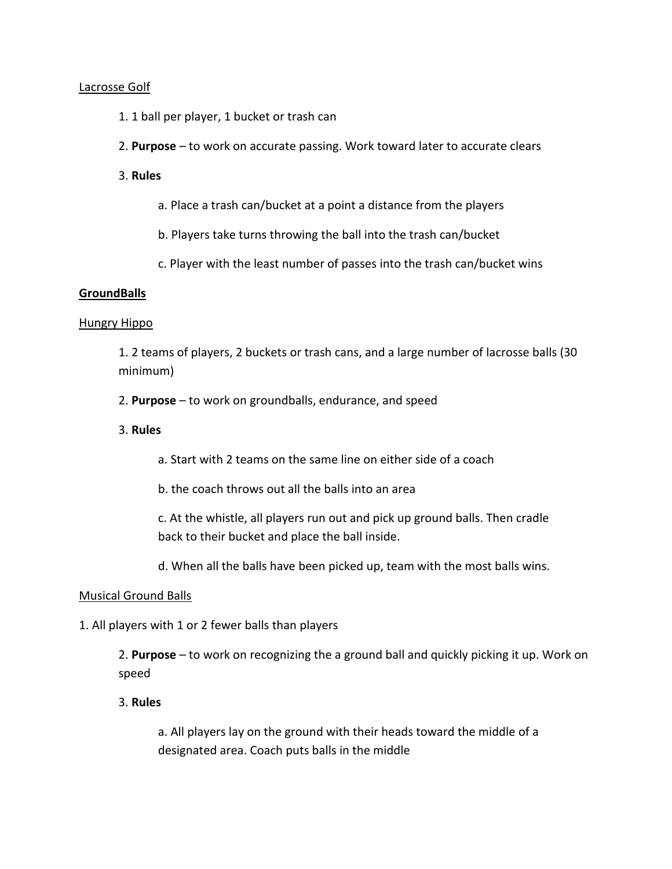#### Lacrosse Golf

- 1. 1 ball per player, 1 bucket or trash can
- 2. **Purpose** to work on accurate passing. Work toward later to accurate clears
- 3. **Rules**
	- a. Place a trash can/bucket at a point a distance from the players
	- b. Players take turns throwing the ball into the trash can/bucket
	- c. Player with the least number of passes into the trash can/bucket wins

#### **GroundBalls**

#### Hungry Hippo

1. 2 teams of players, 2 buckets or trash cans, and a large number of lacrosse balls (30 minimum)

2. **Purpose** – to work on groundballs, endurance, and speed

# 3. **Rules**

a. Start with 2 teams on the same line on either side of a coach

b. the coach throws out all the balls into an area

c. At the whistle, all players run out and pick up ground balls. Then cradle back to their bucket and place the ball inside.

d. When all the balls have been picked up, team with the most balls wins.

#### Musical Ground Balls

1. All players with 1 or 2 fewer balls than players

2. **Purpose** – to work on recognizing the a ground ball and quickly picking it up. Work on speed

#### 3. **Rules**

a. All players lay on the ground with their heads toward the middle of a designated area. Coach puts balls in the middle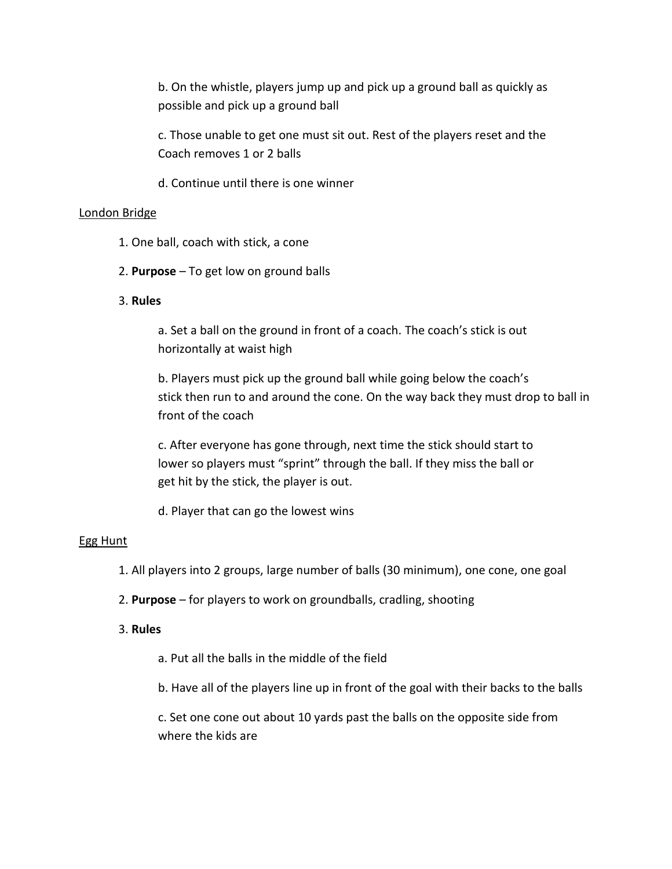b. On the whistle, players jump up and pick up a ground ball as quickly as possible and pick up a ground ball

c. Those unable to get one must sit out. Rest of the players reset and the Coach removes 1 or 2 balls

d. Continue until there is one winner

#### London Bridge

- 1. One ball, coach with stick, a cone
- 2. **Purpose** To get low on ground balls

#### 3. **Rules**

a. Set a ball on the ground in front of a coach. The coach's stick is out horizontally at waist high

b. Players must pick up the ground ball while going below the coach's stick then run to and around the cone. On the way back they must drop to ball in front of the coach

c. After everyone has gone through, next time the stick should start to lower so players must "sprint" through the ball. If they miss the ball or get hit by the stick, the player is out.

d. Player that can go the lowest wins

#### Egg Hunt

- 1. All players into 2 groups, large number of balls (30 minimum), one cone, one goal
- 2. **Purpose** for players to work on groundballs, cradling, shooting

#### 3. **Rules**

- a. Put all the balls in the middle of the field
- b. Have all of the players line up in front of the goal with their backs to the balls

c. Set one cone out about 10 yards past the balls on the opposite side from where the kids are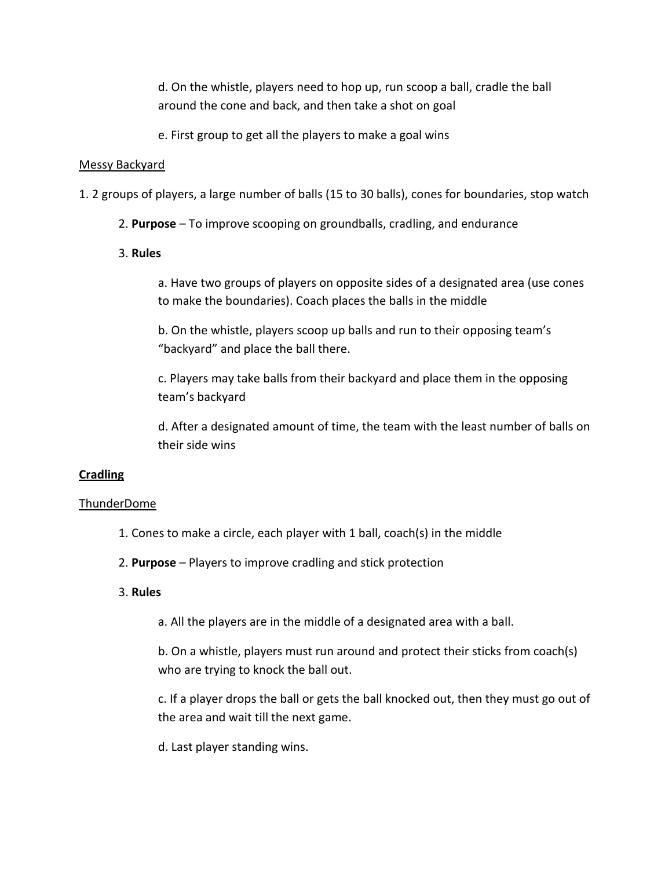d. On the whistle, players need to hop up, run scoop a ball, cradle the ball around the cone and back, and then take a shot on goal

e. First group to get all the players to make a goal wins

## Messy Backyard

- 1. 2 groups of players, a large number of balls (15 to 30 balls), cones for boundaries, stop watch
	- 2. **Purpose** To improve scooping on groundballs, cradling, and endurance
	- 3. **Rules**

a. Have two groups of players on opposite sides of a designated area (use cones to make the boundaries). Coach places the balls in the middle

b. On the whistle, players scoop up balls and run to their opposing team's "backyard" and place the ball there.

c. Players may take balls from their backyard and place them in the opposing team's backyard

d. After a designated amount of time, the team with the least number of balls on their side wins

# **Cradling**

# ThunderDome

- 1. Cones to make a circle, each player with 1 ball, coach(s) in the middle
- 2. **Purpose** Players to improve cradling and stick protection

# 3. **Rules**

a. All the players are in the middle of a designated area with a ball.

b. On a whistle, players must run around and protect their sticks from coach(s) who are trying to knock the ball out.

c. If a player drops the ball or gets the ball knocked out, then they must go out of the area and wait till the next game.

d. Last player standing wins.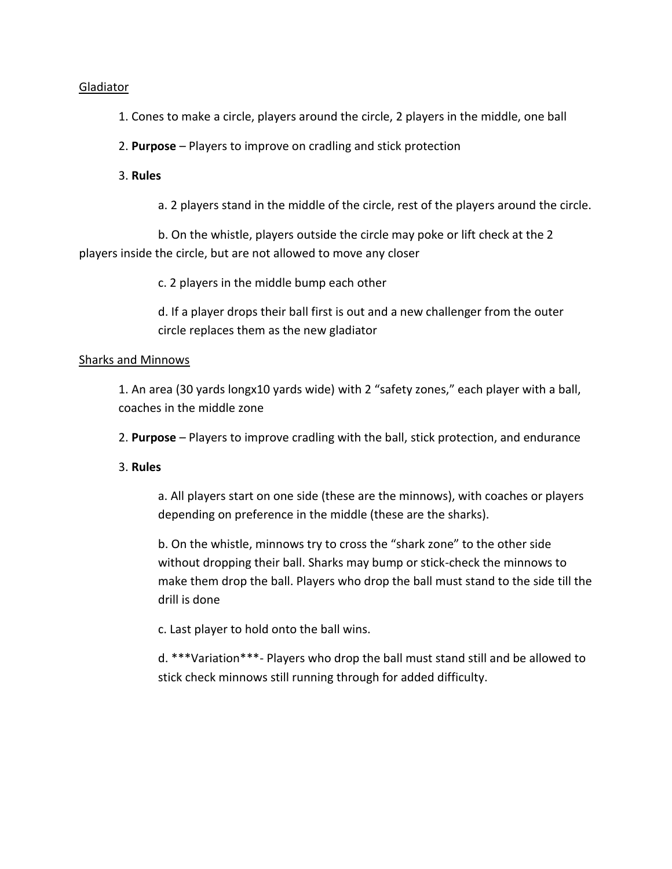## Gladiator

1. Cones to make a circle, players around the circle, 2 players in the middle, one ball

2. **Purpose** – Players to improve on cradling and stick protection

# 3. **Rules**

a. 2 players stand in the middle of the circle, rest of the players around the circle.

b. On the whistle, players outside the circle may poke or lift check at the 2 players inside the circle, but are not allowed to move any closer

c. 2 players in the middle bump each other

d. If a player drops their ball first is out and a new challenger from the outer circle replaces them as the new gladiator

# Sharks and Minnows

1. An area (30 yards longx10 yards wide) with 2 "safety zones," each player with a ball, coaches in the middle zone

2. **Purpose** – Players to improve cradling with the ball, stick protection, and endurance

# 3. **Rules**

a. All players start on one side (these are the minnows), with coaches or players depending on preference in the middle (these are the sharks).

b. On the whistle, minnows try to cross the "shark zone" to the other side without dropping their ball. Sharks may bump or stick-check the minnows to make them drop the ball. Players who drop the ball must stand to the side till the drill is done

c. Last player to hold onto the ball wins.

d. \*\*\*Variation\*\*\*- Players who drop the ball must stand still and be allowed to stick check minnows still running through for added difficulty.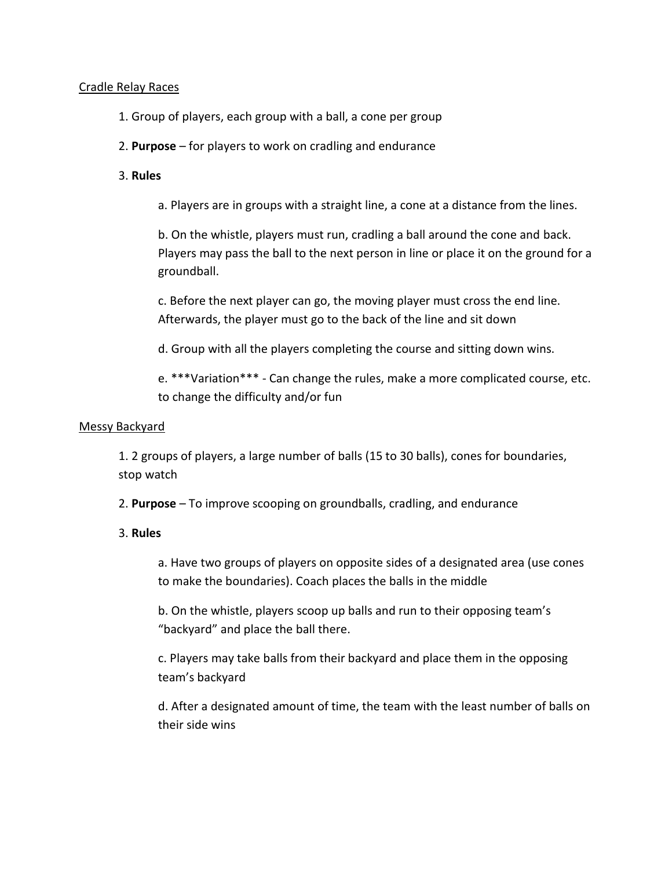# Cradle Relay Races

- 1. Group of players, each group with a ball, a cone per group
- 2. **Purpose** for players to work on cradling and endurance

# 3. **Rules**

a. Players are in groups with a straight line, a cone at a distance from the lines.

b. On the whistle, players must run, cradling a ball around the cone and back. Players may pass the ball to the next person in line or place it on the ground for a groundball.

c. Before the next player can go, the moving player must cross the end line. Afterwards, the player must go to the back of the line and sit down

d. Group with all the players completing the course and sitting down wins.

e. \*\*\*Variation\*\*\* - Can change the rules, make a more complicated course, etc. to change the difficulty and/or fun

#### Messy Backyard

1. 2 groups of players, a large number of balls (15 to 30 balls), cones for boundaries, stop watch

2. **Purpose** – To improve scooping on groundballs, cradling, and endurance

# 3. **Rules**

a. Have two groups of players on opposite sides of a designated area (use cones to make the boundaries). Coach places the balls in the middle

b. On the whistle, players scoop up balls and run to their opposing team's "backyard" and place the ball there.

c. Players may take balls from their backyard and place them in the opposing team's backyard

d. After a designated amount of time, the team with the least number of balls on their side wins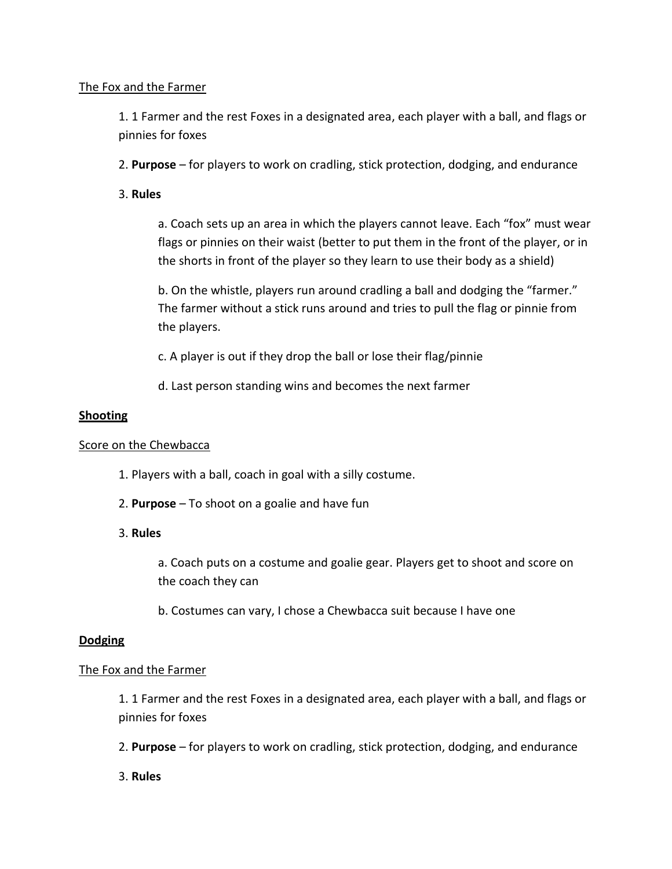# The Fox and the Farmer

1. 1 Farmer and the rest Foxes in a designated area, each player with a ball, and flags or pinnies for foxes

2. **Purpose** – for players to work on cradling, stick protection, dodging, and endurance

# 3. **Rules**

a. Coach sets up an area in which the players cannot leave. Each "fox" must wear flags or pinnies on their waist (better to put them in the front of the player, or in the shorts in front of the player so they learn to use their body as a shield)

b. On the whistle, players run around cradling a ball and dodging the "farmer." The farmer without a stick runs around and tries to pull the flag or pinnie from the players.

c. A player is out if they drop the ball or lose their flag/pinnie

d. Last person standing wins and becomes the next farmer

# **Shooting**

# Score on the Chewbacca

- 1. Players with a ball, coach in goal with a silly costume.
- 2. **Purpose** To shoot on a goalie and have fun

# 3. **Rules**

a. Coach puts on a costume and goalie gear. Players get to shoot and score on the coach they can

b. Costumes can vary, I chose a Chewbacca suit because I have one

# **Dodging**

# The Fox and the Farmer

1. 1 Farmer and the rest Foxes in a designated area, each player with a ball, and flags or pinnies for foxes

2. **Purpose** – for players to work on cradling, stick protection, dodging, and endurance

3. **Rules**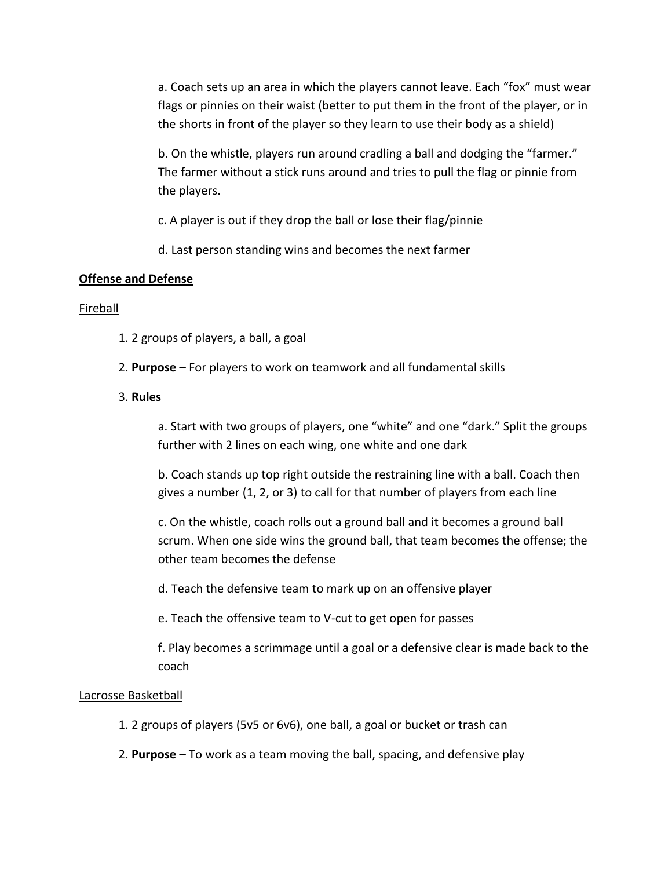a. Coach sets up an area in which the players cannot leave. Each "fox" must wear flags or pinnies on their waist (better to put them in the front of the player, or in the shorts in front of the player so they learn to use their body as a shield)

b. On the whistle, players run around cradling a ball and dodging the "farmer." The farmer without a stick runs around and tries to pull the flag or pinnie from the players.

c. A player is out if they drop the ball or lose their flag/pinnie

d. Last person standing wins and becomes the next farmer

# **Offense and Defense**

# Fireball

- 1. 2 groups of players, a ball, a goal
- 2. **Purpose** For players to work on teamwork and all fundamental skills

# 3. **Rules**

a. Start with two groups of players, one "white" and one "dark." Split the groups further with 2 lines on each wing, one white and one dark

b. Coach stands up top right outside the restraining line with a ball. Coach then gives a number (1, 2, or 3) to call for that number of players from each line

c. On the whistle, coach rolls out a ground ball and it becomes a ground ball scrum. When one side wins the ground ball, that team becomes the offense; the other team becomes the defense

d. Teach the defensive team to mark up on an offensive player

e. Teach the offensive team to V-cut to get open for passes

f. Play becomes a scrimmage until a goal or a defensive clear is made back to the coach

# Lacrosse Basketball

- 1. 2 groups of players (5v5 or 6v6), one ball, a goal or bucket or trash can
- 2. **Purpose** To work as a team moving the ball, spacing, and defensive play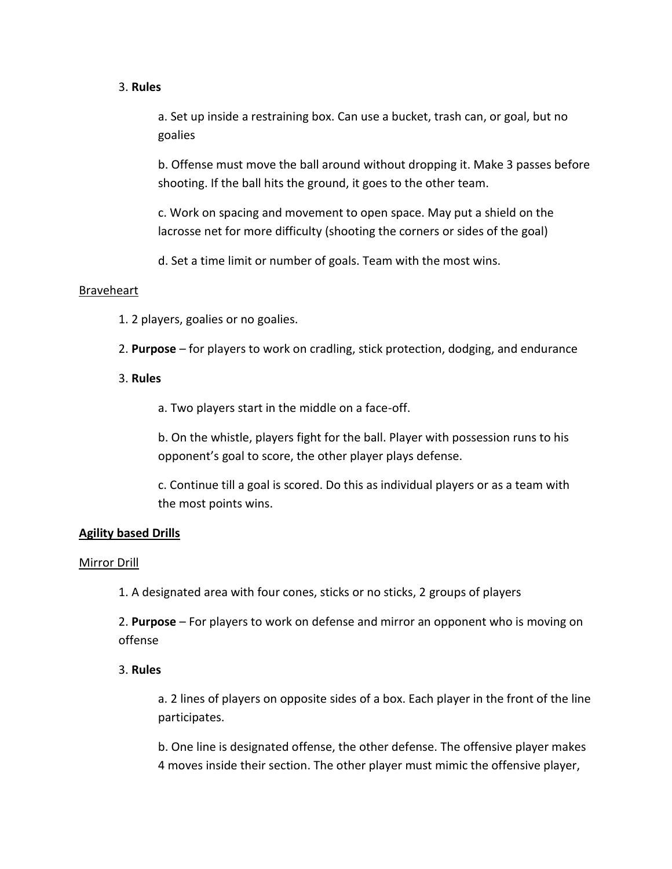## 3. **Rules**

a. Set up inside a restraining box. Can use a bucket, trash can, or goal, but no goalies

b. Offense must move the ball around without dropping it. Make 3 passes before shooting. If the ball hits the ground, it goes to the other team.

c. Work on spacing and movement to open space. May put a shield on the lacrosse net for more difficulty (shooting the corners or sides of the goal)

d. Set a time limit or number of goals. Team with the most wins.

# Braveheart

- 1. 2 players, goalies or no goalies.
- 2. **Purpose** for players to work on cradling, stick protection, dodging, and endurance

# 3. **Rules**

a. Two players start in the middle on a face-off.

b. On the whistle, players fight for the ball. Player with possession runs to his opponent's goal to score, the other player plays defense.

c. Continue till a goal is scored. Do this as individual players or as a team with the most points wins.

# **Agility based Drills**

#### Mirror Drill

1. A designated area with four cones, sticks or no sticks, 2 groups of players

2. **Purpose** – For players to work on defense and mirror an opponent who is moving on offense

# 3. **Rules**

a. 2 lines of players on opposite sides of a box. Each player in the front of the line participates.

b. One line is designated offense, the other defense. The offensive player makes 4 moves inside their section. The other player must mimic the offensive player,